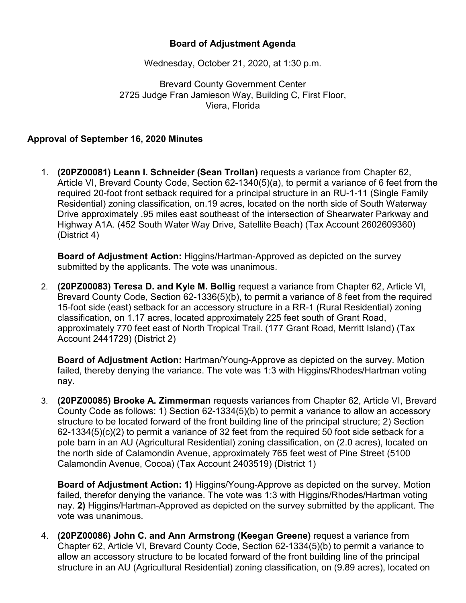## **Board of Adjustment Agenda**

Wednesday, October 21, 2020, at 1:30 p.m.

Brevard County Government Center 2725 Judge Fran Jamieson Way, Building C, First Floor, Viera, Florida

## **Approval of September 16, 2020 Minutes**

1. **(20PZ00081) Leann I. Schneider (Sean Trollan)** requests a variance from Chapter 62, Article VI, Brevard County Code, Section 62-1340(5)(a), to permit a variance of 6 feet from the required 20-foot front setback required for a principal structure in an RU-1-11 (Single Family Residential) zoning classification, on.19 acres, located on the north side of South Waterway Drive approximately .95 miles east southeast of the intersection of Shearwater Parkway and Highway A1A. (452 South Water Way Drive, Satellite Beach) (Tax Account 2602609360) (District 4)

**Board of Adjustment Action:** Higgins/Hartman-Approved as depicted on the survey submitted by the applicants. The vote was unanimous.

2. **(20PZ00083) Teresa D. and Kyle M. Bollig** request a variance from Chapter 62, Article VI, Brevard County Code, Section 62-1336(5)(b), to permit a variance of 8 feet from the required 15-foot side (east) setback for an accessory structure in a RR-1 (Rural Residential) zoning classification, on 1.17 acres, located approximately 225 feet south of Grant Road, approximately 770 feet east of North Tropical Trail. (177 Grant Road, Merritt Island) (Tax Account 2441729) (District 2)

**Board of Adjustment Action:** Hartman/Young-Approve as depicted on the survey. Motion failed, thereby denying the variance. The vote was 1:3 with Higgins/Rhodes/Hartman voting nay.

3. **(20PZ00085) Brooke A. Zimmerman** requests variances from Chapter 62, Article VI, Brevard County Code as follows: 1) Section 62-1334(5)(b) to permit a variance to allow an accessory structure to be located forward of the front building line of the principal structure; 2) Section 62-1334(5)(c)(2) to permit a variance of 32 feet from the required 50 foot side setback for a pole barn in an AU (Agricultural Residential) zoning classification, on (2.0 acres), located on the north side of Calamondin Avenue, approximately 765 feet west of Pine Street (5100 Calamondin Avenue, Cocoa) (Tax Account 2403519) (District 1)

**Board of Adjustment Action: 1)** Higgins/Young-Approve as depicted on the survey. Motion failed, therefor denying the variance. The vote was 1:3 with Higgins/Rhodes/Hartman voting nay. **2)** Higgins/Hartman-Approved as depicted on the survey submitted by the applicant. The vote was unanimous.

4. **(20PZ00086) John C. and Ann Armstrong (Keegan Greene)** request a variance from Chapter 62, Article VI, Brevard County Code, Section 62-1334(5)(b) to permit a variance to allow an accessory structure to be located forward of the front building line of the principal structure in an AU (Agricultural Residential) zoning classification, on (9.89 acres), located on